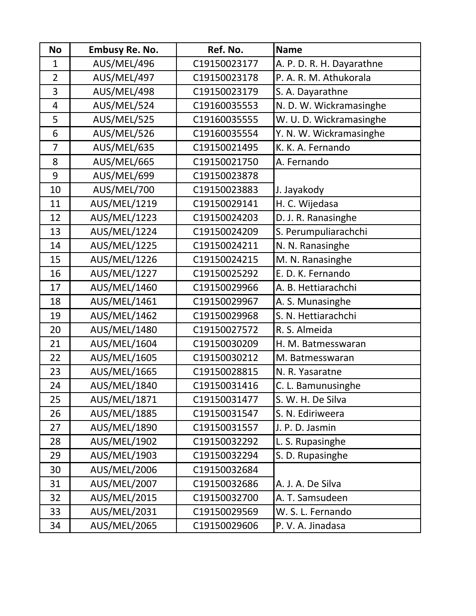| <b>No</b>      | <b>Embusy Re. No.</b> | Ref. No.     | <b>Name</b>               |
|----------------|-----------------------|--------------|---------------------------|
| $\mathbf{1}$   | AUS/MEL/496           | C19150023177 | A. P. D. R. H. Dayarathne |
| $\overline{2}$ | AUS/MEL/497           | C19150023178 | P. A. R. M. Athukorala    |
| 3              | AUS/MEL/498           | C19150023179 | S. A. Dayarathne          |
| 4              | AUS/MEL/524           | C19160035553 | N. D. W. Wickramasinghe   |
| 5              | AUS/MEL/525           | C19160035555 | W. U. D. Wickramasinghe   |
| 6              | AUS/MEL/526           | C19160035554 | Y. N. W. Wickramasinghe   |
| $\overline{7}$ | AUS/MEL/635           | C19150021495 | K. K. A. Fernando         |
| 8              | AUS/MEL/665           | C19150021750 | A. Fernando               |
| 9              | AUS/MEL/699           | C19150023878 |                           |
| 10             | AUS/MEL/700           | C19150023883 | J. Jayakody               |
| 11             | AUS/MEL/1219          | C19150029141 | H. C. Wijedasa            |
| 12             | <b>AUS/MEL/1223</b>   | C19150024203 | D. J. R. Ranasinghe       |
| 13             | AUS/MEL/1224          | C19150024209 | S. Perumpuliarachchi      |
| 14             | <b>AUS/MEL/1225</b>   | C19150024211 | N. N. Ranasinghe          |
| 15             | <b>AUS/MEL/1226</b>   | C19150024215 | M. N. Ranasinghe          |
| 16             | AUS/MEL/1227          | C19150025292 | E. D. K. Fernando         |
| 17             | <b>AUS/MEL/1460</b>   | C19150029966 | A. B. Hettiarachchi       |
| 18             | <b>AUS/MEL/1461</b>   | C19150029967 | A. S. Munasinghe          |
| 19             | <b>AUS/MEL/1462</b>   | C19150029968 | S. N. Hettiarachchi       |
| 20             | <b>AUS/MEL/1480</b>   | C19150027572 | R. S. Almeida             |
| 21             | AUS/MEL/1604          | C19150030209 | H. M. Batmesswaran        |
| 22             | <b>AUS/MEL/1605</b>   | C19150030212 | M. Batmesswaran           |
| 23             | <b>AUS/MEL/1665</b>   | C19150028815 | N. R. Yasaratne           |
| 24             | <b>AUS/MEL/1840</b>   | C19150031416 | C. L. Bamunusinghe        |
| 25             | AUS/MEL/1871          | C19150031477 | S. W. H. De Silva         |
| 26             | <b>AUS/MEL/1885</b>   | C19150031547 | S. N. Ediriweera          |
| 27             | AUS/MEL/1890          | C19150031557 | J. P. D. Jasmin           |
| 28             | <b>AUS/MEL/1902</b>   | C19150032292 | L. S. Rupasinghe          |
| 29             | AUS/MEL/1903          | C19150032294 | S. D. Rupasinghe          |
| 30             | AUS/MEL/2006          | C19150032684 |                           |
| 31             | AUS/MEL/2007          | C19150032686 | A. J. A. De Silva         |
| 32             | <b>AUS/MEL/2015</b>   | C19150032700 | A. T. Samsudeen           |
| 33             | AUS/MEL/2031          | C19150029569 | W. S. L. Fernando         |
| 34             | <b>AUS/MEL/2065</b>   | C19150029606 | P.V.A. Jinadasa           |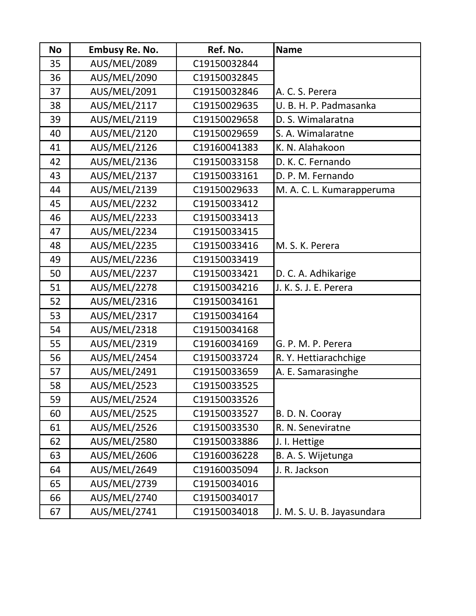| <b>No</b> | <b>Embusy Re. No.</b> | Ref. No.     | <b>Name</b>                |
|-----------|-----------------------|--------------|----------------------------|
| 35        | <b>AUS/MEL/2089</b>   | C19150032844 |                            |
| 36        | <b>AUS/MEL/2090</b>   | C19150032845 |                            |
| 37        | <b>AUS/MEL/2091</b>   | C19150032846 | A. C. S. Perera            |
| 38        | <b>AUS/MEL/2117</b>   | C19150029635 | U. B. H. P. Padmasanka     |
| 39        | <b>AUS/MEL/2119</b>   | C19150029658 | D. S. Wimalaratna          |
| 40        | <b>AUS/MEL/2120</b>   | C19150029659 | S. A. Wimalaratne          |
| 41        | <b>AUS/MEL/2126</b>   | C19160041383 | K. N. Alahakoon            |
| 42        | <b>AUS/MEL/2136</b>   | C19150033158 | D. K. C. Fernando          |
| 43        | <b>AUS/MEL/2137</b>   | C19150033161 | D. P. M. Fernando          |
| 44        | <b>AUS/MEL/2139</b>   | C19150029633 | M. A. C. L. Kumarapperuma  |
| 45        | <b>AUS/MEL/2232</b>   | C19150033412 |                            |
| 46        | <b>AUS/MEL/2233</b>   | C19150033413 |                            |
| 47        | <b>AUS/MEL/2234</b>   | C19150033415 |                            |
| 48        | <b>AUS/MEL/2235</b>   | C19150033416 | M. S. K. Perera            |
| 49        | <b>AUS/MEL/2236</b>   | C19150033419 |                            |
| 50        | AUS/MEL/2237          | C19150033421 | D. C. A. Adhikarige        |
| 51        | <b>AUS/MEL/2278</b>   | C19150034216 | J. K. S. J. E. Perera      |
| 52        | <b>AUS/MEL/2316</b>   | C19150034161 |                            |
| 53        | <b>AUS/MEL/2317</b>   | C19150034164 |                            |
| 54        | <b>AUS/MEL/2318</b>   | C19150034168 |                            |
| 55        | <b>AUS/MEL/2319</b>   | C19160034169 | G. P. M. P. Perera         |
| 56        | <b>AUS/MEL/2454</b>   | C19150033724 | R. Y. Hettiarachchige      |
| 57        | <b>AUS/MEL/2491</b>   | C19150033659 | A. E. Samarasinghe         |
| 58        | <b>AUS/MEL/2523</b>   | C19150033525 |                            |
| 59        | <b>AUS/MEL/2524</b>   | C19150033526 |                            |
| 60        | <b>AUS/MEL/2525</b>   | C19150033527 | B. D. N. Cooray            |
| 61        | <b>AUS/MEL/2526</b>   | C19150033530 | R. N. Seneviratne          |
| 62        | <b>AUS/MEL/2580</b>   | C19150033886 | J. I. Hettige              |
| 63        | <b>AUS/MEL/2606</b>   | C19160036228 | B. A. S. Wijetunga         |
| 64        | <b>AUS/MEL/2649</b>   | C19160035094 | J. R. Jackson              |
| 65        | <b>AUS/MEL/2739</b>   | C19150034016 |                            |
| 66        | <b>AUS/MEL/2740</b>   | C19150034017 |                            |
| 67        | AUS/MEL/2741          | C19150034018 | J. M. S. U. B. Jayasundara |